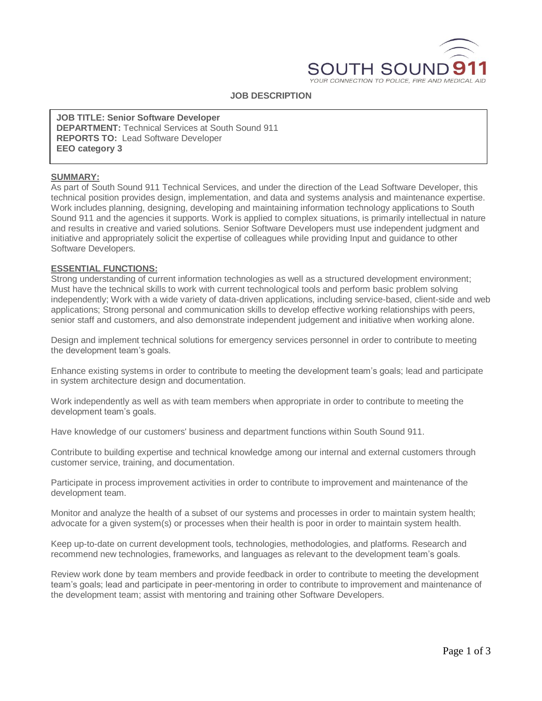

#### **JOB DESCRIPTION**

**JOB TITLE: Senior Software Developer DEPARTMENT:** Technical Services at South Sound 911 **REPORTS TO:** Lead Software Developer **EEO category 3**

### **SUMMARY:**

As part of South Sound 911 Technical Services, and under the direction of the Lead Software Developer, this technical position provides design, implementation, and data and systems analysis and maintenance expertise. Work includes planning, designing, developing and maintaining information technology applications to South Sound 911 and the agencies it supports. Work is applied to complex situations, is primarily intellectual in nature and results in creative and varied solutions. Senior Software Developers must use independent judgment and initiative and appropriately solicit the expertise of colleagues while providing Input and guidance to other Software Developers.

#### **ESSENTIAL FUNCTIONS:**

Strong understanding of current information technologies as well as a structured development environment; Must have the technical skills to work with current technological tools and perform basic problem solving independently; Work with a wide variety of data-driven applications, including service-based, client-side and web applications; Strong personal and communication skills to develop effective working relationships with peers, senior staff and customers, and also demonstrate independent judgement and initiative when working alone.

Design and implement technical solutions for emergency services personnel in order to contribute to meeting the development team's goals.

Enhance existing systems in order to contribute to meeting the development team's goals; lead and participate in system architecture design and documentation.

Work independently as well as with team members when appropriate in order to contribute to meeting the development team's goals.

Have knowledge of our customers' business and department functions within South Sound 911.

Contribute to building expertise and technical knowledge among our internal and external customers through customer service, training, and documentation.

Participate in process improvement activities in order to contribute to improvement and maintenance of the development team.

Monitor and analyze the health of a subset of our systems and processes in order to maintain system health; advocate for a given system(s) or processes when their health is poor in order to maintain system health.

Keep up-to-date on current development tools, technologies, methodologies, and platforms. Research and recommend new technologies, frameworks, and languages as relevant to the development team's goals.

Review work done by team members and provide feedback in order to contribute to meeting the development team's goals; lead and participate in peer-mentoring in order to contribute to improvement and maintenance of the development team; assist with mentoring and training other Software Developers.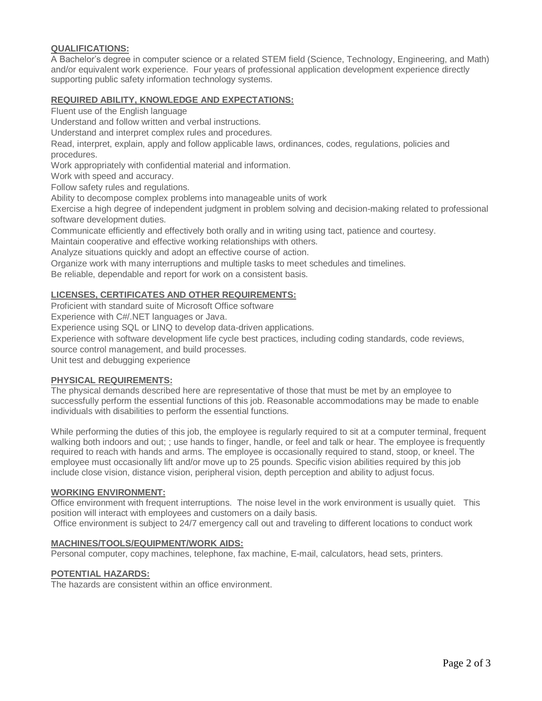# **QUALIFICATIONS:**

A Bachelor's degree in computer science or a related STEM field (Science, Technology, Engineering, and Math) and/or equivalent work experience. Four years of professional application development experience directly supporting public safety information technology systems.

### **REQUIRED ABILITY, KNOWLEDGE AND EXPECTATIONS:**

Fluent use of the English language

Understand and follow written and verbal instructions.

Understand and interpret complex rules and procedures.

Read, interpret, explain, apply and follow applicable laws, ordinances, codes, regulations, policies and procedures.

Work appropriately with confidential material and information.

Work with speed and accuracy.

Follow safety rules and regulations.

Ability to decompose complex problems into manageable units of work

Exercise a high degree of independent judgment in problem solving and decision-making related to professional software development duties.

Communicate efficiently and effectively both orally and in writing using tact, patience and courtesy.

Maintain cooperative and effective working relationships with others.

Analyze situations quickly and adopt an effective course of action.

Organize work with many interruptions and multiple tasks to meet schedules and timelines.

Be reliable, dependable and report for work on a consistent basis.

## **LICENSES, CERTIFICATES AND OTHER REQUIREMENTS:**

Proficient with standard suite of Microsoft Office software

Experience with C#/.NET languages or Java.

Experience using SQL or LINQ to develop data-driven applications.

Experience with software development life cycle best practices, including coding standards, code reviews, source control management, and build processes.

Unit test and debugging experience

## **PHYSICAL REQUIREMENTS:**

The physical demands described here are representative of those that must be met by an employee to successfully perform the essential functions of this job. Reasonable accommodations may be made to enable individuals with disabilities to perform the essential functions.

While performing the duties of this job, the employee is regularly required to sit at a computer terminal, frequent walking both indoors and out; ; use hands to finger, handle, or feel and talk or hear. The employee is frequently required to reach with hands and arms. The employee is occasionally required to stand, stoop, or kneel. The employee must occasionally lift and/or move up to 25 pounds. Specific vision abilities required by this job include close vision, distance vision, peripheral vision, depth perception and ability to adjust focus.

### **WORKING ENVIRONMENT:**

Office environment with frequent interruptions. The noise level in the work environment is usually quiet. This position will interact with employees and customers on a daily basis.

Office environment is subject to 24/7 emergency call out and traveling to different locations to conduct work

### **MACHINES/TOOLS/EQUIPMENT/WORK AIDS:**

Personal computer, copy machines, telephone, fax machine, E-mail, calculators, head sets, printers.

### **POTENTIAL HAZARDS:**

The hazards are consistent within an office environment.